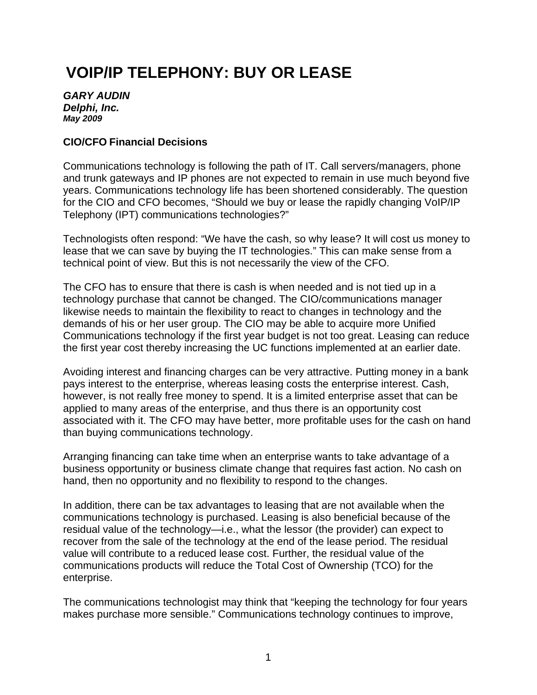# **VOIP/IP TELEPHONY: BUY OR LEASE**

*GARY AUDIN Delphi, Inc. May 2009* 

#### **CIO/CFO Financial Decisions**

Communications technology is following the path of IT. Call servers/managers, phone and trunk gateways and IP phones are not expected to remain in use much beyond five years. Communications technology life has been shortened considerably. The question for the CIO and CFO becomes, "Should we buy or lease the rapidly changing VoIP/IP Telephony (IPT) communications technologies?"

Technologists often respond: "We have the cash, so why lease? It will cost us money to lease that we can save by buying the IT technologies." This can make sense from a technical point of view. But this is not necessarily the view of the CFO.

The CFO has to ensure that there is cash is when needed and is not tied up in a technology purchase that cannot be changed. The CIO/communications manager likewise needs to maintain the flexibility to react to changes in technology and the demands of his or her user group. The CIO may be able to acquire more Unified Communications technology if the first year budget is not too great. Leasing can reduce the first year cost thereby increasing the UC functions implemented at an earlier date.

Avoiding interest and financing charges can be very attractive. Putting money in a bank pays interest to the enterprise, whereas leasing costs the enterprise interest. Cash, however, is not really free money to spend. It is a limited enterprise asset that can be applied to many areas of the enterprise, and thus there is an opportunity cost associated with it. The CFO may have better, more profitable uses for the cash on hand than buying communications technology.

Arranging financing can take time when an enterprise wants to take advantage of a business opportunity or business climate change that requires fast action. No cash on hand, then no opportunity and no flexibility to respond to the changes.

In addition, there can be tax advantages to leasing that are not available when the communications technology is purchased. Leasing is also beneficial because of the residual value of the technology—i.e., what the lessor (the provider) can expect to recover from the sale of the technology at the end of the lease period. The residual value will contribute to a reduced lease cost. Further, the residual value of the communications products will reduce the Total Cost of Ownership (TCO) for the enterprise.

The communications technologist may think that "keeping the technology for four years makes purchase more sensible." Communications technology continues to improve,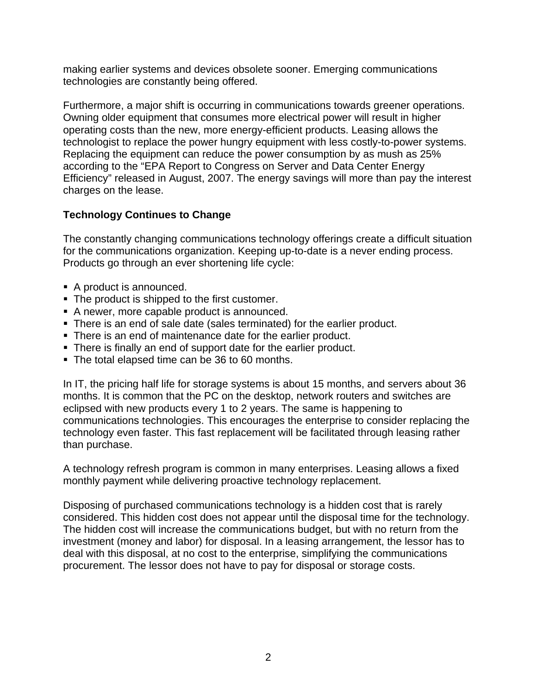making earlier systems and devices obsolete sooner. Emerging communications technologies are constantly being offered.

Furthermore, a major shift is occurring in communications towards greener operations. Owning older equipment that consumes more electrical power will result in higher operating costs than the new, more energy-efficient products. Leasing allows the technologist to replace the power hungry equipment with less costly-to-power systems. Replacing the equipment can reduce the power consumption by as mush as 25% according to the "EPA Report to Congress on Server and Data Center Energy Efficiency" released in August, 2007. The energy savings will more than pay the interest charges on the lease.

# **Technology Continues to Change**

The constantly changing communications technology offerings create a difficult situation for the communications organization. Keeping up-to-date is a never ending process. Products go through an ever shortening life cycle:

- A product is announced.
- The product is shipped to the first customer.
- A newer, more capable product is announced.
- There is an end of sale date (sales terminated) for the earlier product.
- There is an end of maintenance date for the earlier product.
- There is finally an end of support date for the earlier product.
- The total elapsed time can be 36 to 60 months.

In IT, the pricing half life for storage systems is about 15 months, and servers about 36 months. It is common that the PC on the desktop, network routers and switches are eclipsed with new products every 1 to 2 years. The same is happening to communications technologies. This encourages the enterprise to consider replacing the technology even faster. This fast replacement will be facilitated through leasing rather than purchase.

A technology refresh program is common in many enterprises. Leasing allows a fixed monthly payment while delivering proactive technology replacement.

Disposing of purchased communications technology is a hidden cost that is rarely considered. This hidden cost does not appear until the disposal time for the technology. The hidden cost will increase the communications budget, but with no return from the investment (money and labor) for disposal. In a leasing arrangement, the lessor has to deal with this disposal, at no cost to the enterprise, simplifying the communications procurement. The lessor does not have to pay for disposal or storage costs.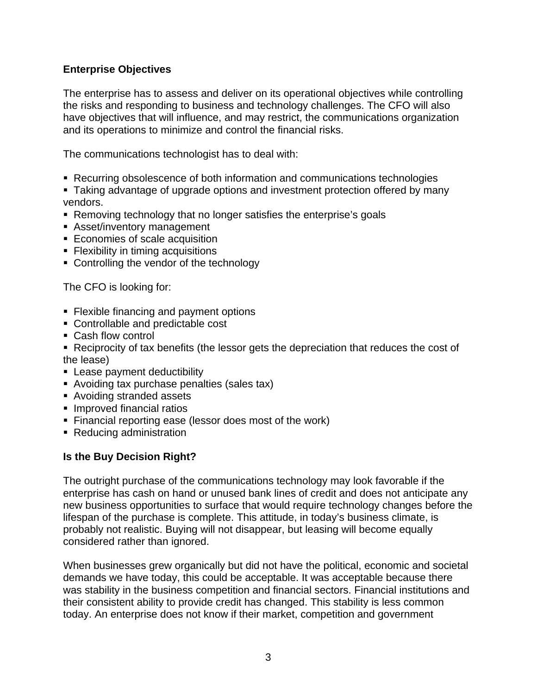## **Enterprise Objectives**

The enterprise has to assess and deliver on its operational objectives while controlling the risks and responding to business and technology challenges. The CFO will also have objectives that will influence, and may restrict, the communications organization and its operations to minimize and control the financial risks.

The communications technologist has to deal with:

- Recurring obsolescence of both information and communications technologies
- Taking advantage of upgrade options and investment protection offered by many vendors.
- Removing technology that no longer satisfies the enterprise's goals
- Asset/inventory management
- **Economies of scale acquisition**
- **Flexibility in timing acquisitions**
- Controlling the vendor of the technology

The CFO is looking for:

- **Flexible financing and payment options**
- Controllable and predictable cost
- Cash flow control
- Reciprocity of tax benefits (the lessor gets the depreciation that reduces the cost of the lease)
- **Lease payment deductibility**
- Avoiding tax purchase penalties (sales tax)
- Avoiding stranded assets
- **Improved financial ratios**
- Financial reporting ease (lessor does most of the work)
- Reducing administration

#### **Is the Buy Decision Right?**

The outright purchase of the communications technology may look favorable if the enterprise has cash on hand or unused bank lines of credit and does not anticipate any new business opportunities to surface that would require technology changes before the lifespan of the purchase is complete. This attitude, in today's business climate, is probably not realistic. Buying will not disappear, but leasing will become equally considered rather than ignored.

When businesses grew organically but did not have the political, economic and societal demands we have today, this could be acceptable. It was acceptable because there was stability in the business competition and financial sectors. Financial institutions and their consistent ability to provide credit has changed. This stability is less common today. An enterprise does not know if their market, competition and government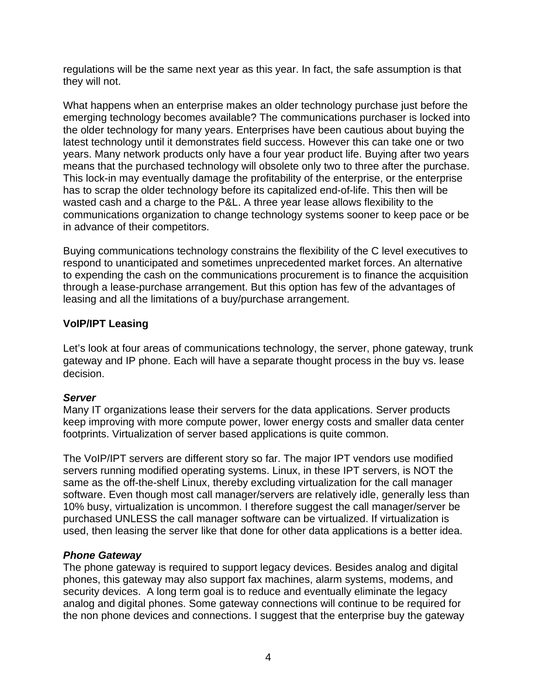regulations will be the same next year as this year. In fact, the safe assumption is that they will not.

What happens when an enterprise makes an older technology purchase just before the emerging technology becomes available? The communications purchaser is locked into the older technology for many years. Enterprises have been cautious about buying the latest technology until it demonstrates field success. However this can take one or two years. Many network products only have a four year product life. Buying after two years means that the purchased technology will obsolete only two to three after the purchase. This lock-in may eventually damage the profitability of the enterprise, or the enterprise has to scrap the older technology before its capitalized end-of-life. This then will be wasted cash and a charge to the P&L. A three year lease allows flexibility to the communications organization to change technology systems sooner to keep pace or be in advance of their competitors.

Buying communications technology constrains the flexibility of the C level executives to respond to unanticipated and sometimes unprecedented market forces. An alternative to expending the cash on the communications procurement is to finance the acquisition through a lease-purchase arrangement. But this option has few of the advantages of leasing and all the limitations of a buy/purchase arrangement.

# **VoIP/IPT Leasing**

Let's look at four areas of communications technology, the server, phone gateway, trunk gateway and IP phone. Each will have a separate thought process in the buy vs. lease decision.

#### *Server*

Many IT organizations lease their servers for the data applications. Server products keep improving with more compute power, lower energy costs and smaller data center footprints. Virtualization of server based applications is quite common.

The VoIP/IPT servers are different story so far. The major IPT vendors use modified servers running modified operating systems. Linux, in these IPT servers, is NOT the same as the off-the-shelf Linux, thereby excluding virtualization for the call manager software. Even though most call manager/servers are relatively idle, generally less than 10% busy, virtualization is uncommon. I therefore suggest the call manager/server be purchased UNLESS the call manager software can be virtualized. If virtualization is used, then leasing the server like that done for other data applications is a better idea.

#### *Phone Gateway*

The phone gateway is required to support legacy devices. Besides analog and digital phones, this gateway may also support fax machines, alarm systems, modems, and security devices. A long term goal is to reduce and eventually eliminate the legacy analog and digital phones. Some gateway connections will continue to be required for the non phone devices and connections. I suggest that the enterprise buy the gateway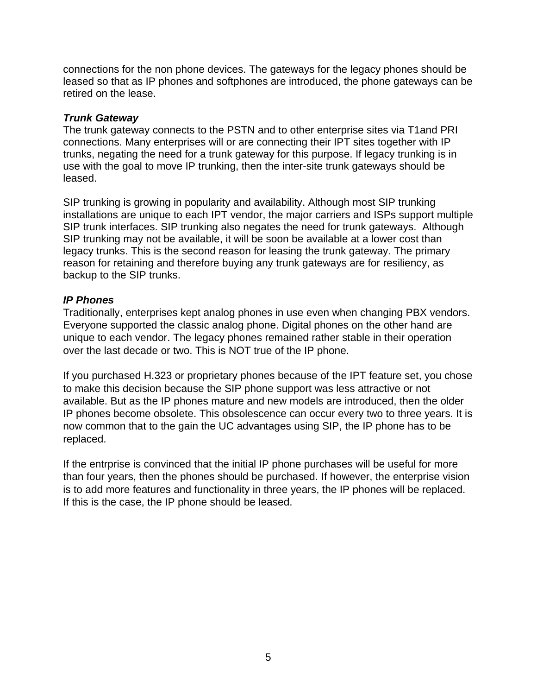connections for the non phone devices. The gateways for the legacy phones should be leased so that as IP phones and softphones are introduced, the phone gateways can be retired on the lease.

#### *Trunk Gateway*

The trunk gateway connects to the PSTN and to other enterprise sites via T1and PRI connections. Many enterprises will or are connecting their IPT sites together with IP trunks, negating the need for a trunk gateway for this purpose. If legacy trunking is in use with the goal to move IP trunking, then the inter-site trunk gateways should be leased.

SIP trunking is growing in popularity and availability. Although most SIP trunking installations are unique to each IPT vendor, the major carriers and ISPs support multiple SIP trunk interfaces. SIP trunking also negates the need for trunk gateways. Although SIP trunking may not be available, it will be soon be available at a lower cost than legacy trunks. This is the second reason for leasing the trunk gateway. The primary reason for retaining and therefore buying any trunk gateways are for resiliency, as backup to the SIP trunks.

#### *IP Phones*

Traditionally, enterprises kept analog phones in use even when changing PBX vendors. Everyone supported the classic analog phone. Digital phones on the other hand are unique to each vendor. The legacy phones remained rather stable in their operation over the last decade or two. This is NOT true of the IP phone.

If you purchased H.323 or proprietary phones because of the IPT feature set, you chose to make this decision because the SIP phone support was less attractive or not available. But as the IP phones mature and new models are introduced, then the older IP phones become obsolete. This obsolescence can occur every two to three years. It is now common that to the gain the UC advantages using SIP, the IP phone has to be replaced.

If the entrprise is convinced that the initial IP phone purchases will be useful for more than four years, then the phones should be purchased. If however, the enterprise vision is to add more features and functionality in three years, the IP phones will be replaced. If this is the case, the IP phone should be leased.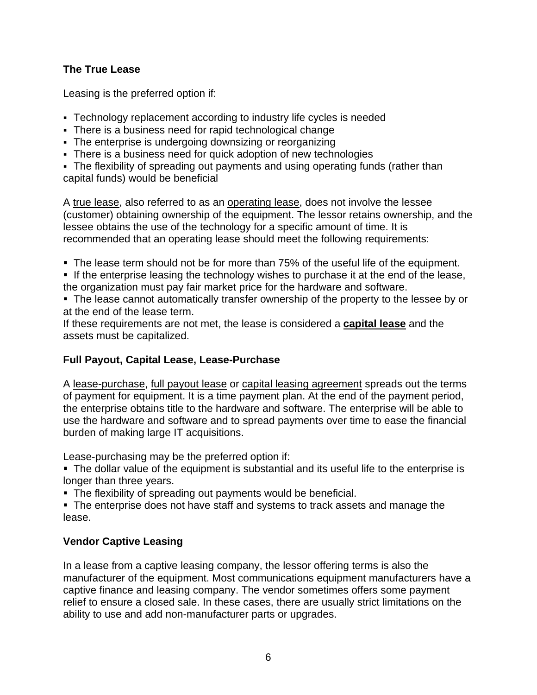# **The True Lease**

Leasing is the preferred option if:

- Technology replacement according to industry life cycles is needed
- There is a business need for rapid technological change
- The enterprise is undergoing downsizing or reorganizing
- There is a business need for quick adoption of new technologies

 The flexibility of spreading out payments and using operating funds (rather than capital funds) would be beneficial

A true lease, also referred to as an operating lease, does not involve the lessee (customer) obtaining ownership of the equipment. The lessor retains ownership, and the lessee obtains the use of the technology for a specific amount of time. It is recommended that an operating lease should meet the following requirements:

- The lease term should not be for more than 75% of the useful life of the equipment.
- If the enterprise leasing the technology wishes to purchase it at the end of the lease, the organization must pay fair market price for the hardware and software.

 The lease cannot automatically transfer ownership of the property to the lessee by or at the end of the lease term.

If these requirements are not met, the lease is considered a **capital lease** and the assets must be capitalized.

# **Full Payout, Capital Lease, Lease-Purchase**

A lease-purchase, full payout lease or capital leasing agreement spreads out the terms of payment for equipment. It is a time payment plan. At the end of the payment period, the enterprise obtains title to the hardware and software. The enterprise will be able to use the hardware and software and to spread payments over time to ease the financial burden of making large IT acquisitions.

Lease-purchasing may be the preferred option if:

 The dollar value of the equipment is substantial and its useful life to the enterprise is longer than three years.

- **The flexibility of spreading out payments would be beneficial.**
- **The enterprise does not have staff and systems to track assets and manage the** lease.

# **Vendor Captive Leasing**

In a lease from a captive leasing company, the lessor offering terms is also the manufacturer of the equipment. Most communications equipment manufacturers have a captive finance and leasing company. The vendor sometimes offers some payment relief to ensure a closed sale. In these cases, there are usually strict limitations on the ability to use and add non-manufacturer parts or upgrades.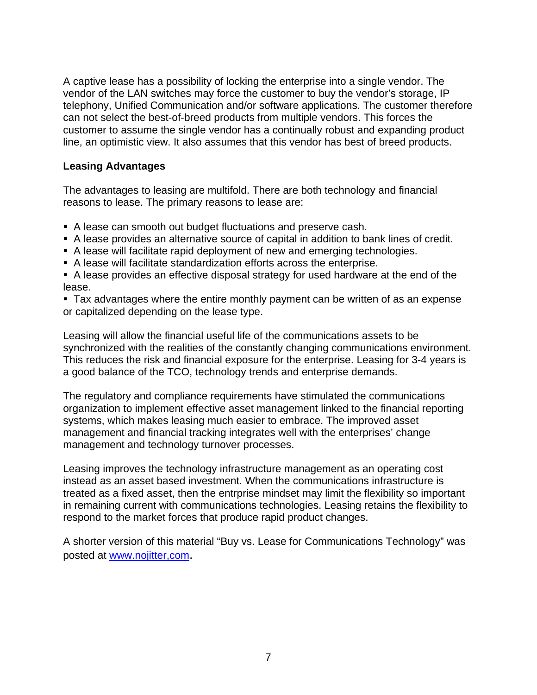A captive lease has a possibility of locking the enterprise into a single vendor. The vendor of the LAN switches may force the customer to buy the vendor's storage, IP telephony, Unified Communication and/or software applications. The customer therefore can not select the best-of-breed products from multiple vendors. This forces the customer to assume the single vendor has a continually robust and expanding product line, an optimistic view. It also assumes that this vendor has best of breed products.

#### **Leasing Advantages**

The advantages to leasing are multifold. There are both technology and financial reasons to lease. The primary reasons to lease are:

- A lease can smooth out budget fluctuations and preserve cash.
- A lease provides an alternative source of capital in addition to bank lines of credit.
- A lease will facilitate rapid deployment of new and emerging technologies.
- A lease will facilitate standardization efforts across the enterprise.
- A lease provides an effective disposal strategy for used hardware at the end of the lease.
- Tax advantages where the entire monthly payment can be written of as an expense or capitalized depending on the lease type.

Leasing will allow the financial useful life of the communications assets to be synchronized with the realities of the constantly changing communications environment. This reduces the risk and financial exposure for the enterprise. Leasing for 3-4 years is a good balance of the TCO, technology trends and enterprise demands.

The regulatory and compliance requirements have stimulated the communications organization to implement effective asset management linked to the financial reporting systems, which makes leasing much easier to embrace. The improved asset management and financial tracking integrates well with the enterprises' change management and technology turnover processes.

Leasing improves the technology infrastructure management as an operating cost instead as an asset based investment. When the communications infrastructure is treated as a fixed asset, then the entrprise mindset may limit the flexibility so important in remaining current with communications technologies. Leasing retains the flexibility to respond to the market forces that produce rapid product changes.

A shorter version of this material "Buy vs. Lease for Communications Technology" was posted at [www.nojitter,com](http://www.nojitter,com/).